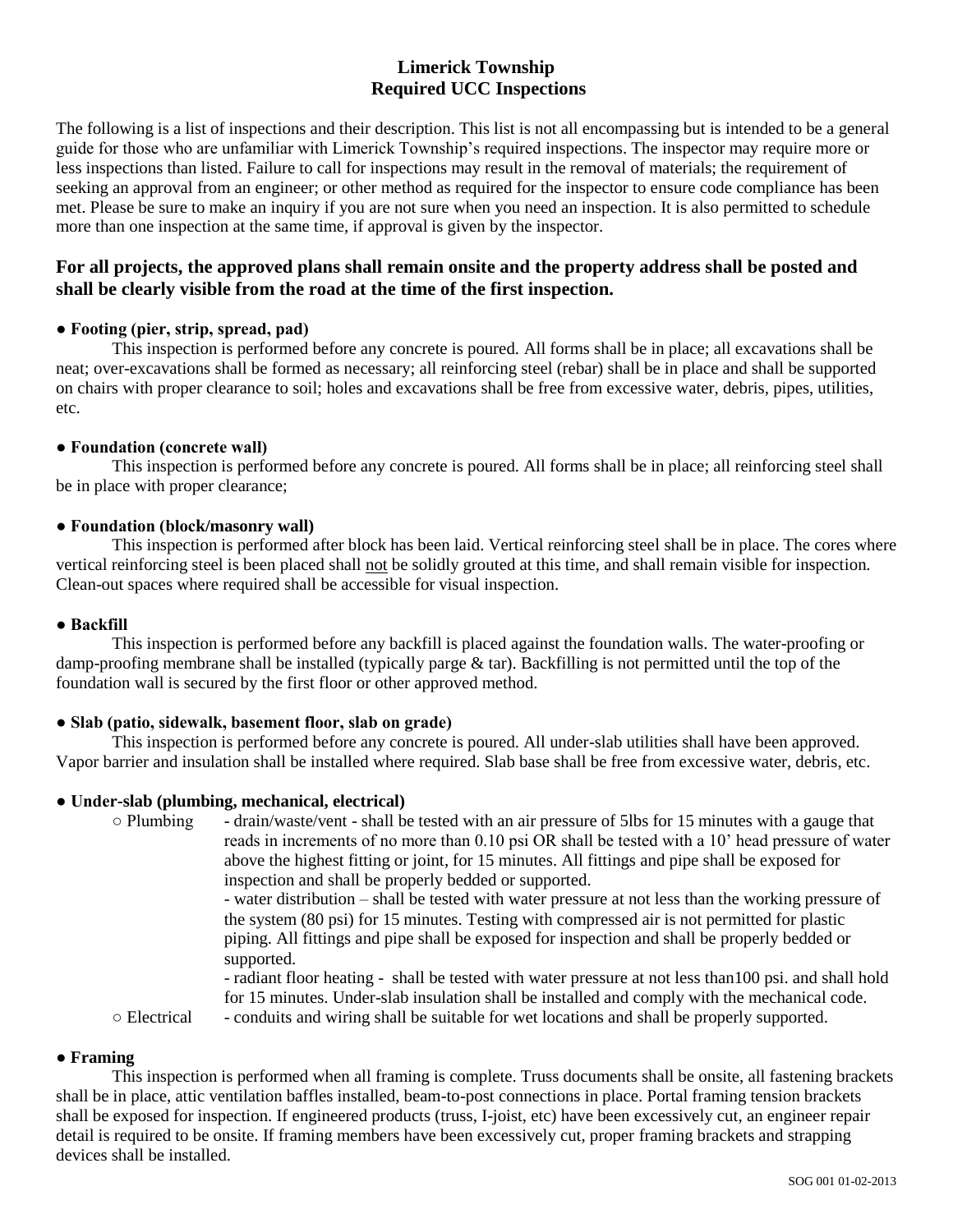# **Limerick Township Required UCC Inspections**

The following is a list of inspections and their description. This list is not all encompassing but is intended to be a general guide for those who are unfamiliar with Limerick Township's required inspections. The inspector may require more or less inspections than listed. Failure to call for inspections may result in the removal of materials; the requirement of seeking an approval from an engineer; or other method as required for the inspector to ensure code compliance has been met. Please be sure to make an inquiry if you are not sure when you need an inspection. It is also permitted to schedule more than one inspection at the same time, if approval is given by the inspector.

# **For all projects, the approved plans shall remain onsite and the property address shall be posted and shall be clearly visible from the road at the time of the first inspection.**

# **● Footing (pier, strip, spread, pad)**

This inspection is performed before any concrete is poured. All forms shall be in place; all excavations shall be neat; over-excavations shall be formed as necessary; all reinforcing steel (rebar) shall be in place and shall be supported on chairs with proper clearance to soil; holes and excavations shall be free from excessive water, debris, pipes, utilities, etc.

# **● Foundation (concrete wall)**

This inspection is performed before any concrete is poured. All forms shall be in place; all reinforcing steel shall be in place with proper clearance;

# **● Foundation (block/masonry wall)**

This inspection is performed after block has been laid. Vertical reinforcing steel shall be in place. The cores where vertical reinforcing steel is been placed shall not be solidly grouted at this time, and shall remain visible for inspection. Clean-out spaces where required shall be accessible for visual inspection.

## **● Backfill**

This inspection is performed before any backfill is placed against the foundation walls. The water-proofing or damp-proofing membrane shall be installed (typically parge & tar). Backfilling is not permitted until the top of the foundation wall is secured by the first floor or other approved method.

# **● Slab (patio, sidewalk, basement floor, slab on grade)**

This inspection is performed before any concrete is poured. All under-slab utilities shall have been approved. Vapor barrier and insulation shall be installed where required. Slab base shall be free from excessive water, debris, etc.

# **● Under-slab (plumbing, mechanical, electrical)**

○ Plumbing - drain/waste/vent - shall be tested with an air pressure of 5lbs for 15 minutes with a gauge that reads in increments of no more than 0.10 psi OR shall be tested with a 10' head pressure of water above the highest fitting or joint, for 15 minutes. All fittings and pipe shall be exposed for inspection and shall be properly bedded or supported. - water distribution – shall be tested with water pressure at not less than the working pressure of the system (80 psi) for 15 minutes. Testing with compressed air is not permitted for plastic piping. All fittings and pipe shall be exposed for inspection and shall be properly bedded or supported. - radiant floor heating - shall be tested with water pressure at not less than100 psi. and shall hold for 15 minutes. Under-slab insulation shall be installed and comply with the mechanical code. ○ Electrical - conduits and wiring shall be suitable for wet locations and shall be properly supported.

### **● Framing**

This inspection is performed when all framing is complete. Truss documents shall be onsite, all fastening brackets shall be in place, attic ventilation baffles installed, beam-to-post connections in place. Portal framing tension brackets shall be exposed for inspection. If engineered products (truss, I-joist, etc) have been excessively cut, an engineer repair detail is required to be onsite. If framing members have been excessively cut, proper framing brackets and strapping devices shall be installed.